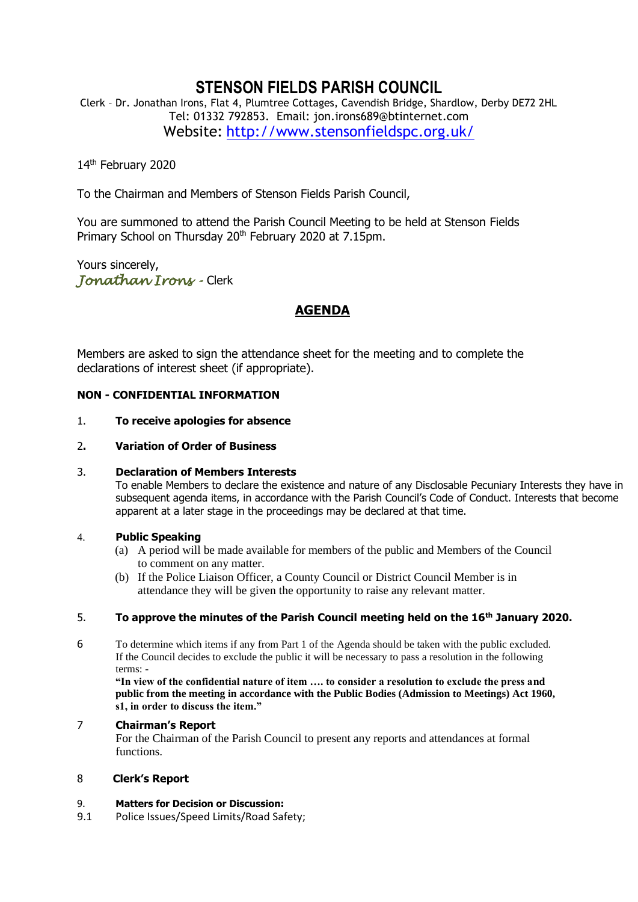# **STENSON FIELDS PARISH COUNCIL**

Clerk – Dr. Jonathan Irons, Flat 4, Plumtree Cottages, Cavendish Bridge, Shardlow, Derby DE72 2HL Tel: 01332 792853. Email: jon.irons689@btinternet.com Website: <http://www.stensonfieldspc.org.uk/>

14<sup>th</sup> February 2020

To the Chairman and Members of Stenson Fields Parish Council,

You are summoned to attend the Parish Council Meeting to be held at Stenson Fields Primary School on Thursday 20<sup>th</sup> February 2020 at 7.15pm.

Yours sincerely, *Jonathan Irons -* Clerk

# **AGENDA**

Members are asked to sign the attendance sheet for the meeting and to complete the declarations of interest sheet (if appropriate).

# **NON - CONFIDENTIAL INFORMATION**

#### 1. **To receive apologies for absence**

# 2**. Variation of Order of Business**

# 3. **Declaration of Members Interests**

To enable Members to declare the existence and nature of any Disclosable Pecuniary Interests they have in subsequent agenda items, in accordance with the Parish Council's Code of Conduct. Interests that become apparent at a later stage in the proceedings may be declared at that time.

# 4. **Public Speaking**

- (a) A period will be made available for members of the public and Members of the Council to comment on any matter.
- (b) If the Police Liaison Officer, a County Council or District Council Member is in attendance they will be given the opportunity to raise any relevant matter.

# 5. **To approve the minutes of the Parish Council meeting held on the 16th January 2020.**

6 To determine which items if any from Part 1 of the Agenda should be taken with the public excluded. If the Council decides to exclude the public it will be necessary to pass a resolution in the following terms: -

**"In view of the confidential nature of item …. to consider a resolution to exclude the press and public from the meeting in accordance with the Public Bodies (Admission to Meetings) Act 1960, s1, in order to discuss the item."** 

# 7 **Chairman's Report**

For the Chairman of the Parish Council to present any reports and attendances at formal functions.

# 8 **Clerk's Report**

#### 9. **Matters for Decision or Discussion:**

9.1 Police Issues/Speed Limits/Road Safety;